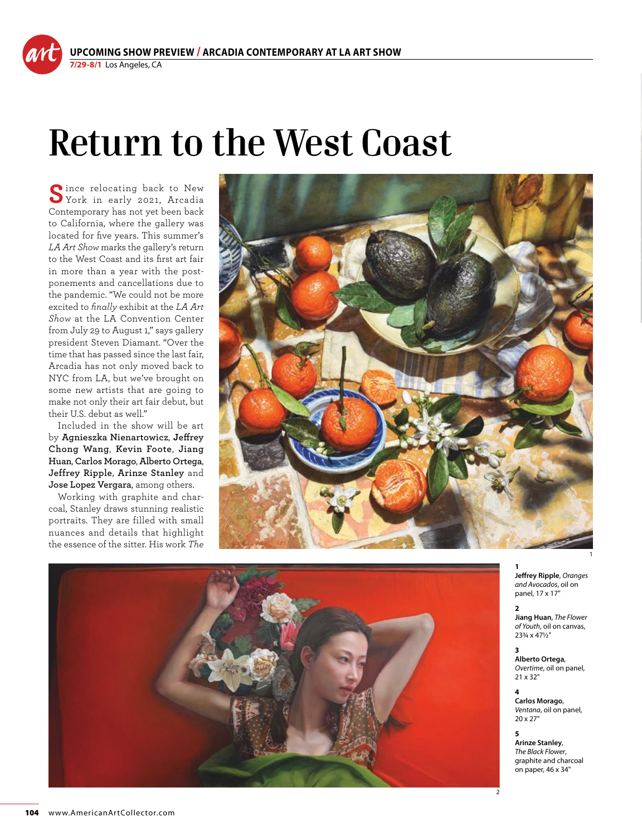## **Return to the West Coast**

Since relocating back to New York in early 2021, Arcadia Contemporary has not yet been back to California, where the gallery was located for five years. This summer's *LA Art Show* marks the gallery's return to the West Coast and its first art fair in more than a year with the postponements and cancellations due to the pandemic. "We could not be more excited to *finally* exhibit at the *LA Art Show* at the LA Convention Center from July 29 to August 1," says gallery president Steven Diamant. "Over the time that has passed since the last fair, Arcadia has not only moved back to NYC from LA, but we've brought on some new artists that are going to make not only their art fair debut, but their U.S. debut as well."

Included in the show will be art by **Agnieszka Nienartowicz**, **Jeffrey Chong Wang**, **Kevin Foote**, **Jiang Huan**, **Carlos Morago**, **Alberto Ortega**, **Jeffrey Ripple**, **Arinze Stanley** and **Jose Lopez Vergara**, among others.

Working with graphite and charcoal, Stanley draws stunning realistic portraits. They are filled with small nuances and details that highlight the essence of the sitter. His work *The* 





**2 Jiang Huan**, *The Flower of Youth*, oil on canvas, 23¾ x 47½"

**3 Alberto Ortega**, *Overtime*, oil on panel, 21 x 32"

**4 Carlos Morago**, *Ventana*, oil on panel, 20 x 27"

2

**5 Arinze Stanley**, *The Black Flower*, graphite and charcoal on paper, 46 x 34"